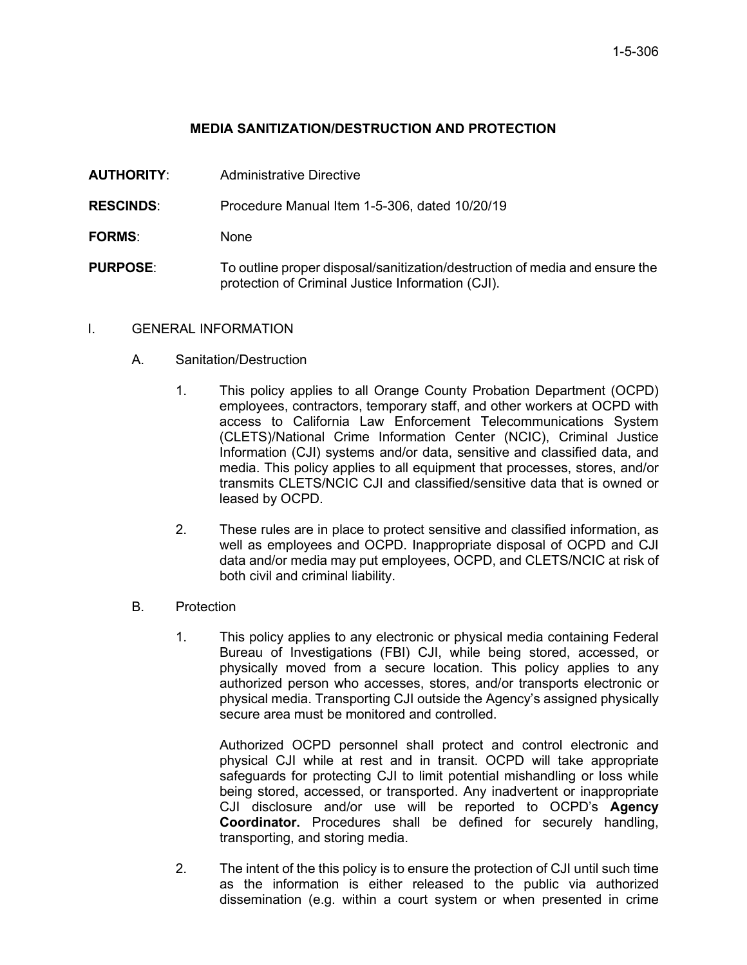## **MEDIA SANITIZATION/DESTRUCTION AND PROTECTION**

**AUTHORITY**: Administrative Directive

**RESCINDS**: Procedure Manual Item 1-5-306, dated 10/20/19

- **FORMS**: None
- **PURPOSE**: To outline proper disposal/sanitization/destruction of media and ensure the protection of Criminal Justice Information (CJI).

## I. GENERAL INFORMATION

- A. Sanitation/Destruction
	- 1. This policy applies to all Orange County Probation Department (OCPD) employees, contractors, temporary staff, and other workers at OCPD with access to California Law Enforcement Telecommunications System (CLETS)/National Crime Information Center (NCIC), Criminal Justice Information (CJI) systems and/or data, sensitive and classified data, and media. This policy applies to all equipment that processes, stores, and/or transmits CLETS/NCIC CJI and classified/sensitive data that is owned or leased by OCPD.
	- 2. These rules are in place to protect sensitive and classified information, as well as employees and OCPD. Inappropriate disposal of OCPD and CJI data and/or media may put employees, OCPD, and CLETS/NCIC at risk of both civil and criminal liability.
- B. Protection
	- 1. This policy applies to any electronic or physical media containing Federal Bureau of Investigations (FBI) CJI, while being stored, accessed, or physically moved from a secure location. This policy applies to any authorized person who accesses, stores, and/or transports electronic or physical media. Transporting CJI outside the Agency's assigned physically secure area must be monitored and controlled.

Authorized OCPD personnel shall protect and control electronic and physical CJI while at rest and in transit. OCPD will take appropriate safeguards for protecting CJI to limit potential mishandling or loss while being stored, accessed, or transported. Any inadvertent or inappropriate CJI disclosure and/or use will be reported to OCPD's **Agency Coordinator.** Procedures shall be defined for securely handling, transporting, and storing media.

2. The intent of the this policy is to ensure the protection of CJI until such time as the information is either released to the public via authorized dissemination (e.g. within a court system or when presented in crime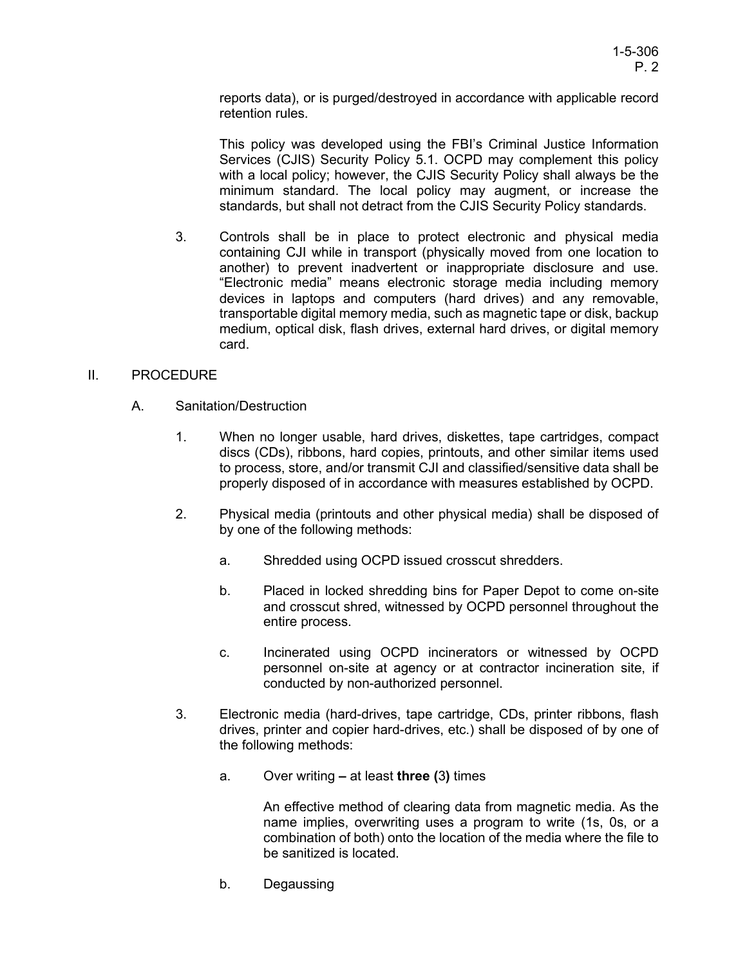reports data), or is purged/destroyed in accordance with applicable record retention rules.

This policy was developed using the FBI's Criminal Justice Information Services (CJIS) Security Policy 5.1. OCPD may complement this policy with a local policy; however, the CJIS Security Policy shall always be the minimum standard. The local policy may augment, or increase the standards, but shall not detract from the CJIS Security Policy standards.

3. Controls shall be in place to protect electronic and physical media containing CJI while in transport (physically moved from one location to another) to prevent inadvertent or inappropriate disclosure and use. "Electronic media" means electronic storage media including memory devices in laptops and computers (hard drives) and any removable, transportable digital memory media, such as magnetic tape or disk, backup medium, optical disk, flash drives, external hard drives, or digital memory card.

## II. PROCEDURE

- A. Sanitation/Destruction
	- 1. When no longer usable, hard drives, diskettes, tape cartridges, compact discs (CDs), ribbons, hard copies, printouts, and other similar items used to process, store, and/or transmit CJI and classified/sensitive data shall be properly disposed of in accordance with measures established by OCPD.
	- 2. Physical media (printouts and other physical media) shall be disposed of by one of the following methods:
		- a. Shredded using OCPD issued crosscut shredders.
		- b. Placed in locked shredding bins for Paper Depot to come on-site and crosscut shred, witnessed by OCPD personnel throughout the entire process.
		- c. Incinerated using OCPD incinerators or witnessed by OCPD personnel on-site at agency or at contractor incineration site, if conducted by non-authorized personnel.
	- 3. Electronic media (hard-drives, tape cartridge, CDs, printer ribbons, flash drives, printer and copier hard-drives, etc.) shall be disposed of by one of the following methods:
		- a. Over writing **–** at least **three (**3**)** times

An effective method of clearing data from magnetic media. As the name implies, overwriting uses a program to write (1s, 0s, or a combination of both) onto the location of the media where the file to be sanitized is located.

b. Degaussing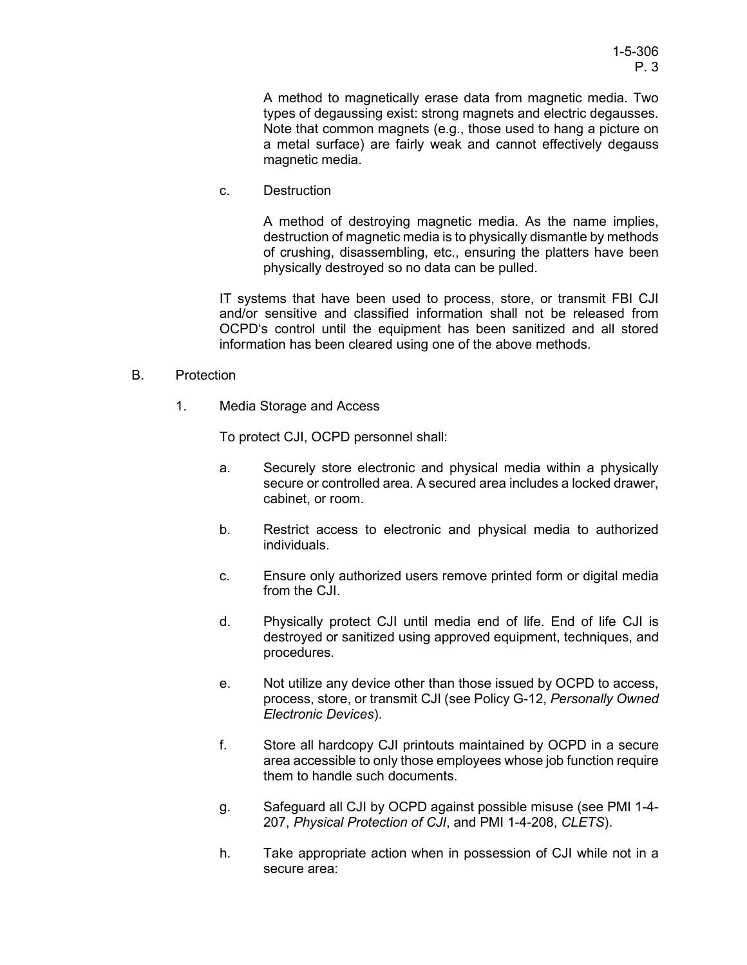A method to magnetically erase data from magnetic media. Two types of degaussing exist: strong magnets and electric degausses. Note that common magnets (e.g., those used to hang a picture on a metal surface) are fairly weak and cannot effectively degauss magnetic media.

c. Destruction

A method of destroying magnetic media. As the name implies, destruction of magnetic media is to physically dismantle by methods of crushing, disassembling, etc., ensuring the platters have been physically destroyed so no data can be pulled.

IT systems that have been used to process, store, or transmit FBI CJI and/or sensitive and classified information shall not be released from OCPD's control until the equipment has been sanitized and all stored information has been cleared using one of the above methods.

- B. Protection
	- 1. Media Storage and Access

To protect CJI, OCPD personnel shall:

- a. Securely store electronic and physical media within a physically secure or controlled area. A secured area includes a locked drawer, cabinet, or room.
- b. Restrict access to electronic and physical media to authorized individuals.
- c. Ensure only authorized users remove printed form or digital media from the CJI.
- d. Physically protect CJI until media end of life. End of life CJI is destroyed or sanitized using approved equipment, techniques, and procedures.
- e. Not utilize any device other than those issued by OCPD to access, process, store, or transmit CJI (see Policy G-12, *Personally Owned Electronic Devices*).
- f. Store all hardcopy CJI printouts maintained by OCPD in a secure area accessible to only those employees whose job function require them to handle such documents.
- g. Safeguard all CJI by OCPD against possible misuse (see PMI 1-4- 207, *Physical Protection of CJI*, and PMI 1-4-208, *CLETS*).
- h. Take appropriate action when in possession of CJI while not in a secure area: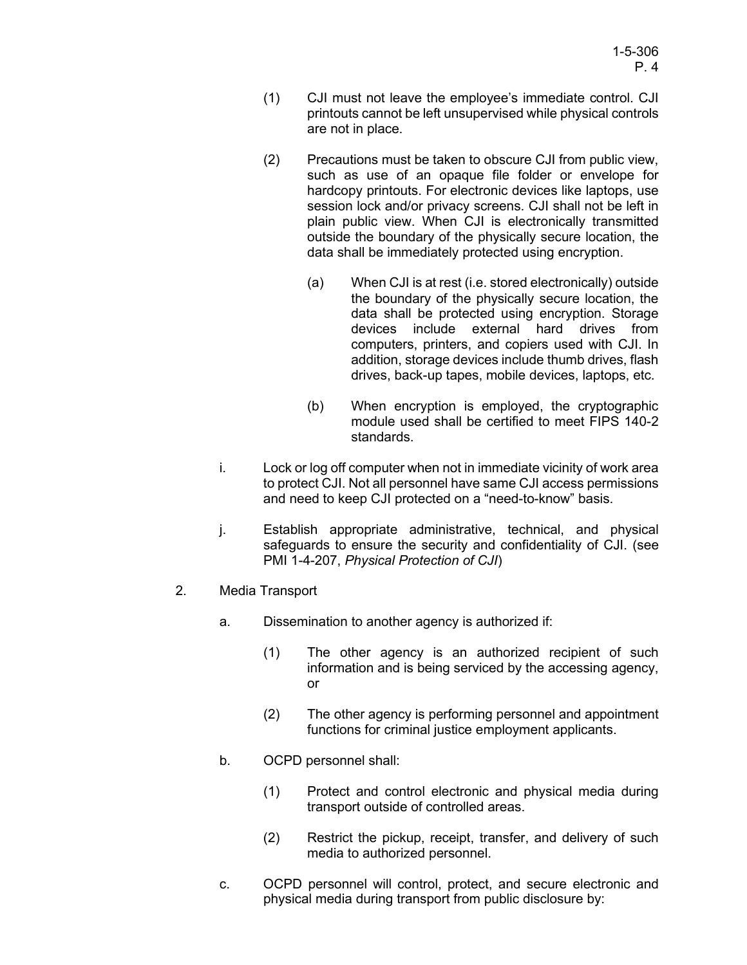- (1) CJI must not leave the employee's immediate control. CJI printouts cannot be left unsupervised while physical controls are not in place.
- (2) Precautions must be taken to obscure CJI from public view, such as use of an opaque file folder or envelope for hardcopy printouts. For electronic devices like laptops, use session lock and/or privacy screens. CJI shall not be left in plain public view. When CJI is electronically transmitted outside the boundary of the physically secure location, the data shall be immediately protected using encryption.
	- (a) When CJI is at rest (i.e. stored electronically) outside the boundary of the physically secure location, the data shall be protected using encryption. Storage devices include external hard drives from computers, printers, and copiers used with CJI. In addition, storage devices include thumb drives, flash drives, back-up tapes, mobile devices, laptops, etc.
	- (b) When encryption is employed, the cryptographic module used shall be certified to meet FIPS 140-2 standards.
- i. Lock or log off computer when not in immediate vicinity of work area to protect CJI. Not all personnel have same CJI access permissions and need to keep CJI protected on a "need-to-know" basis.
- j. Establish appropriate administrative, technical, and physical safeguards to ensure the security and confidentiality of CJI. (see PMI 1-4-207, *Physical Protection of CJI*)
- 2. Media Transport
	- a. Dissemination to another agency is authorized if:
		- (1) The other agency is an authorized recipient of such information and is being serviced by the accessing agency, or
		- (2) The other agency is performing personnel and appointment functions for criminal justice employment applicants.
	- b. OCPD personnel shall:
		- (1) Protect and control electronic and physical media during transport outside of controlled areas.
		- (2) Restrict the pickup, receipt, transfer, and delivery of such media to authorized personnel.
	- c. OCPD personnel will control, protect, and secure electronic and physical media during transport from public disclosure by: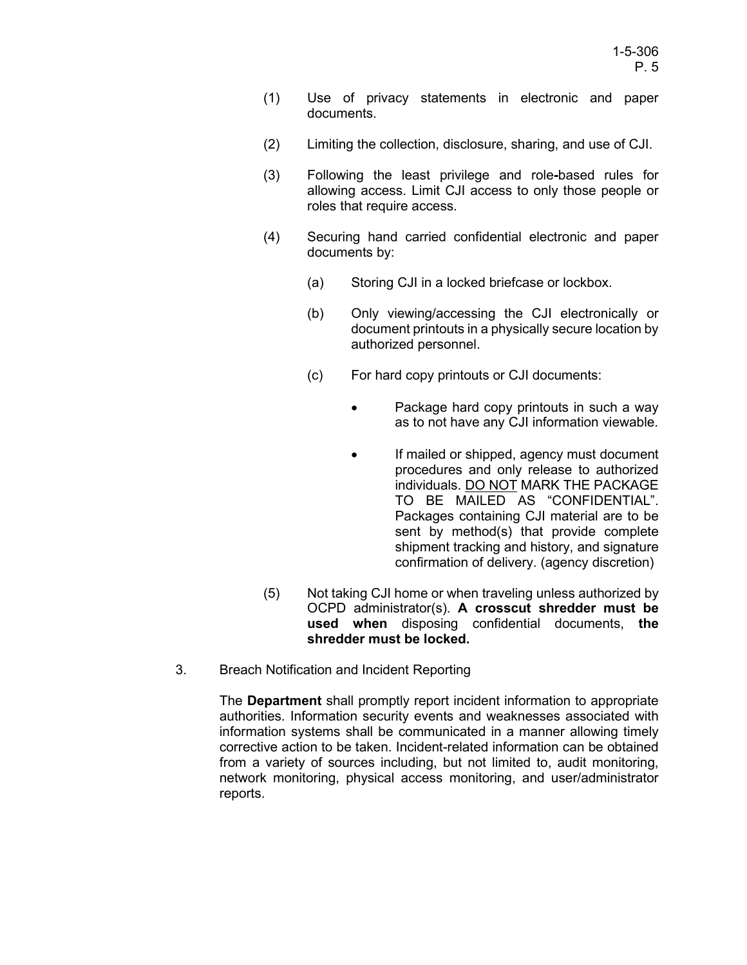- (1) Use of privacy statements in electronic and paper documents.
- (2) Limiting the collection, disclosure, sharing, and use of CJI.
- (3) Following the least privilege and role**-**based rules for allowing access. Limit CJI access to only those people or roles that require access.
- (4) Securing hand carried confidential electronic and paper documents by:
	- (a) Storing CJI in a locked briefcase or lockbox.
	- (b) Only viewing/accessing the CJI electronically or document printouts in a physically secure location by authorized personnel.
	- (c) For hard copy printouts or CJI documents:
		- Package hard copy printouts in such a way as to not have any CJI information viewable.
		- If mailed or shipped, agency must document procedures and only release to authorized individuals. DO NOT MARK THE PACKAGE TO BE MAILED AS "CONFIDENTIAL". Packages containing CJI material are to be sent by method(s) that provide complete shipment tracking and history, and signature confirmation of delivery. (agency discretion)
- (5) Not taking CJI home or when traveling unless authorized by OCPD administrator(s). **A crosscut shredder must be used when** disposing confidential documents, **the shredder must be locked.**
- 3. Breach Notification and Incident Reporting

The **Department** shall promptly report incident information to appropriate authorities. Information security events and weaknesses associated with information systems shall be communicated in a manner allowing timely corrective action to be taken. Incident-related information can be obtained from a variety of sources including, but not limited to, audit monitoring, network monitoring, physical access monitoring, and user/administrator reports.